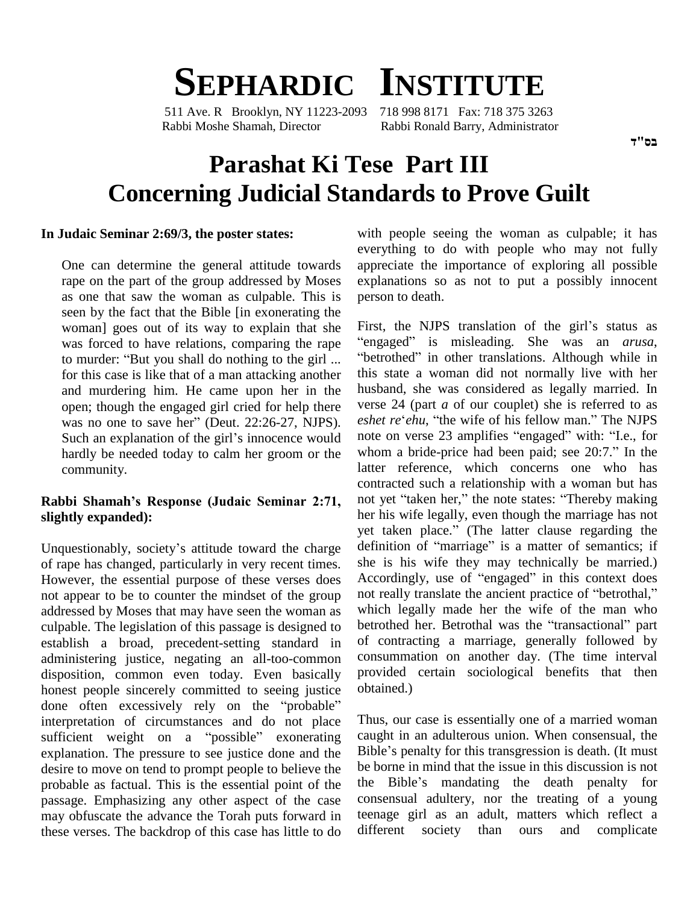# **SEPHARDIC INSTITUTE**

511 Ave. R Brooklyn, NY 11223-2093 718 998 8171 Fax: 718 375 3263 Rabbi Moshe Shamah, Director Rabbi Ronald Barry, Administrator

## **Parashat Ki Tese Part III Concerning Judicial Standards to Prove Guilt**

#### **In Judaic Seminar 2:69/3, the poster states:**

One can determine the general attitude towards rape on the part of the group addressed by Moses as one that saw the woman as culpable. This is seen by the fact that the Bible [in exonerating the woman] goes out of its way to explain that she First, was forced to have relations, comparing the rape "engation murder: "But you shall do nothing to the girl ... "bettern for this case is like that of a man attacking another and murdering him. He came upon her in the open; though the engaged girl cried for help there and murdering him. He came upon her in the hypen; though the engaged girl cried for help there versus no one to save her" (Deut. 22:26-27, NJPS). open; though the engaged girl cried for help there verse<br>was no one to save her" (Deut. 22:26-27, NJPS). *eshet* a<br>Such an explanation of the girl's innocence would note of community.

## **slightly expanded):**

of rape has changed, particularly in very recent times. However, the essential purpose of these verses does Accordingly, use of "engaged" in this context does not appear to be to counter the mindset of the group not really translate the ancient practice of "betrothal," not appear to be to counter the mindset of the group addressed by Moses that may have seen the woman as<br>culpable. The legislation of this passage is designed to be troubled her. Betrothal was the "transactional" part culpable. The legislation of this passage is designed to establish a broad, precedent-setting standard in administering justice, negating an all-too-common disposition, common even today. Even basically provid<br>honest people sincerely committed to seeing justice obtain<br>done often excessively rely on the "probable" honest people sincerely committed to seeing justice interpretation of circumstances and do not place done often excessively rely on the "probable"<br>interpretation of circumstances and do not place Thus,<br>sufficient weight on a "possible" exonerating caught explanation. The pressure to see justice done and the Bible's penalty for this transgression is death. (It must desire to move on tend to prompt people to believe the before in mind that the issue in this discussion is not<br>probable as factual. This is the essential point of the the Bible's mandating the death penalty for probable as factual. This is the essential point of the passage. Emphasizing any other aspect of the case may obfuscate the advance the Torah puts forward in these verses. The backdrop of this case has little to do

with people seeing the woman as culpable; it has everything to do with people who may not fully appreciate the importance of exploring all possible explanations so as not to put a possibly innocent person to death.

was forced to have relations, comparing the rape "engaged" is misleading. She was an *arusa*, to murder: "But you shall do nothing to the girl ... "betrothed" in other translations. Although while in hardly be needed today to calm her groom or the whom a bride-price had been paid; see 20:7." In the **Rabbi Shamahís Response (Judaic Seminar 2:71,** Unquestionably, society's attitude toward the charge definition of "marriage" is a matter of semantics; if First, the NJPS translation of the girl's status as First, the NJPS translation of the girl's status as<br>"engaged" is misleading. She was an *arusa*, First, the NJPS translation of the girl's status as engaged" is misleading. She was an *arusa*, betrothed" in other translations. Although while in this state a woman did not normally live with her husband, she was considered as legally married. In verse 24 (part *a* of our couplet) she is referred to as *eshet re*<sup>*'ehu*, "the wife of his fellow man." The NJPS</sup> verse 24 (part *a* of our couplet) she is referred to as *eshet re'ehu*, "the wife of his fellow man." The NJPS note on verse 23 amplifies "engaged" with: "I.e., for *eshet re'ehu*, "the wife of his fellow man." The NJPS note on verse 23 amplifies "engaged" with: "I.e., for latter reference, which concerns one who has contracted such a relationship with a woman but has latter reference, which concerns one who has<br>contracted such a relationship with a woman but has<br>not yet "taken her," the note states: "Thereby making her his wife legally, even though the marriage has not not yet "taken her," the note states: "Thereby making<br>her his wife legally, even though the marriage has not<br>yet taken place." (The latter clause regarding the her his wife legally, even though the marriage has not<br>yet taken place." (The latter clause regarding the<br>definition of "marriage" is a matter of semantics; if she is his wife they may technically be married.) definition of "marriage" is a matter of semantics; if<br>she is his wife they may technically be married.)<br>Accordingly, use of "engaged" in this context does she is his wife they may technically be married.)<br>Accordingly, use of "engaged" in this context does<br>not really translate the ancient practice of "betrothal," which legally made her the wife of the man who not really translate the ancient practice of "betrothal,"<br>which legally made her the wife of the man who<br>betrothed her. Betrothal was the "transactional" part of contracting a marriage, generally followed by consummation on another day. (The time interval provided certain sociological benefits that then obtained.)

> Thus, our case is essentially one of a married woman caught in an adulterous union. When consensual, the Thus, our case is essentially one of a married woman<br>caught in an adulterous union. When consensual, the<br>Bible's penalty for this transgression is death. (It must be borne in mind that the issue in this discussion is not Bible's penalty for this transgression is death. (It must<br>be borne in mind that the issue in this discussion is not<br>the Bible's mandating the death penalty for consensual adultery, nor the treating of a young teenage girl as an adult, matters which reflect a different society than ours and complicate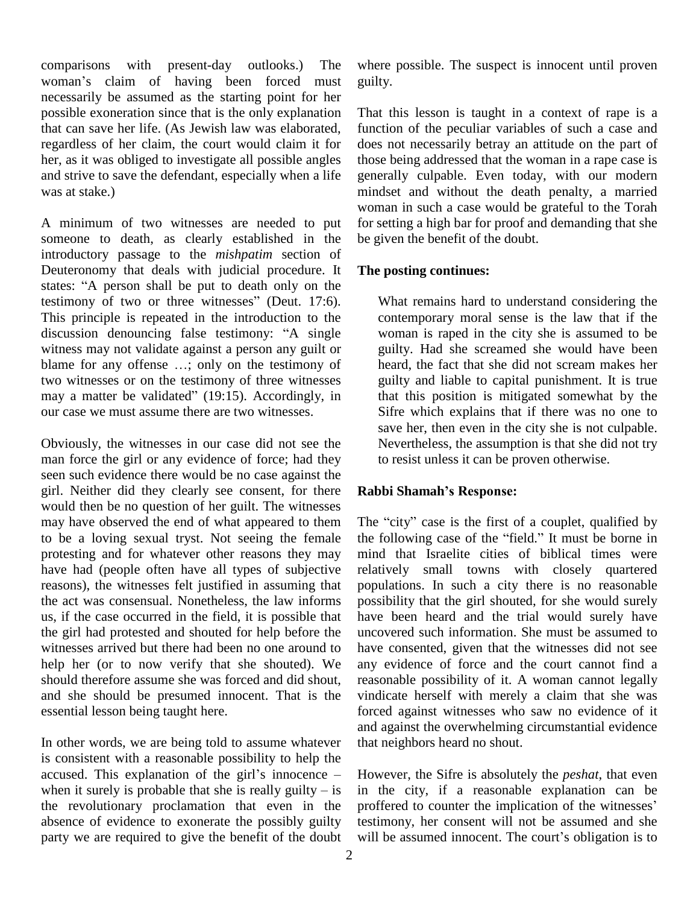comparisons with present-day outlooks.) The woman's claim of having been forced must necessarily be assumed as the starting point for her possible exoneration since that is the only explanation that can save her life. (As Jewish law was elaborated, regardless of her claim, the court would claim it for her, as itwas obliged to investigate all possible angles and strive to save the defendant, especially when a life was at stake.)

A minimum of two witnesses are needed to put someone to death, as clearly established in the introductory passage to the *mishpatim* section of Deuteronomy that deals with judicial procedure. It The just states: "A person shall be put to death only on the Deuteronomy that deals with judicial procedure. It Deuteronomy that deals with judicial procedure. It T<br>states: "A person shall be put to death only on the<br>testimony of two or three witnesses" (Deut. 17:6). This principle is repeated in the introduction to the testimony of two or three witnesses" (Deut. 17:6).<br>This principle is repeated in the introduction to the condiscussion denouncing false testimony: "A single w witness may not validate against a person any guilt or discussion denouncing false testimony: "A single witness may not validate against a person any guilt or blame for any offense ...; only on the testimony of two witnesses or on the testimony of three witnesses may a matter be validated"  $(19:15)$ . Accordingly, in our case we must assume there are two witnesses.

Obviously, the witnesses in our case did not see the man force the girl or any evidence of force; had they seen such evidence there would be no case against the girl. Neither did they clearly see consent, for there Rabbi Shamah's Response: would then be no question of her guilt. The witnesses may have observed the end of what appeared to them to be a loving sexual tryst. Not seeing the female protesting and for whatever other reasons they may have had (people often have all types of subjective reasons), the witnesses felt justified in assuming that the act was consensual. Nonetheless, the law informs us, if the case occurred in the field, it is possible that the girl had protested and shouted for help before the witnesses arrived but there had been no one around to help her (or to now verify that she shouted). We should therefore assume she was forced and did shout, and she should be presumed innocent. That is the essential lesson being taught here.

In other words, we are being told to assume whatever is consistent with a reasonable possibility to help the In other words, we are being told to assume whatever that no<br>is consistent with a reasonable possibility to help the<br>accused. This explanation of the girl's innocence – Howe is consistent with a reasonable possibility to help the accused. This explanation of the girl's innocence – How when it surely is probable that she is really guilty – is in the revolutionary proclamation that even in the proffered to counter the implication of the witnesses' absence of evidence to exonerate the possibly guilty party we are required to give the benefit of the doubt will be assumed innocent. The court's obligation is to

where possible. The suspect is innocent until proven guilty.

That this lesson is taught in a context of rape is a function of the peculiar variables of such a case and does not necessarily betray an attitude on the part of those being addressed that the woman in a rape case is generally culpable. Even today, with our modern mindset and without the death penalty, a married woman in such a case would be grateful to the Torah for setting a high bar for proof and demanding that she be given the benefit of the doubt.

### **The posting continues:**

What remains hard to understand considering the contemporary moral sense is the law that if the woman is raped in the city she is assumed to be guilty. Had she screamed she would have been heard, the fact that she did not scream makes her guilty and liable to capital punishment. It is true that this position is mitigated somewhat by the Sifre which explains that if there was no one to save her, then even in the city she is not culpable. Nevertheless, the assumption is that she did not try to resist unless itcan be proven otherwise. **Rabbi Shamahís Response:**

The "city" case is the first of a couplet, qualified by the following case of the "field." It must be borne in mind that Israelite cities of biblical times were relatively small towns with closely quartered populations. In such a city there is no reasonable possibility that the girl shouted, for she would surely have been heard and the trial would surely have uncovered such information. She must be assumed to have consented, given that the witnesses did not see any evidence of force and the court cannot find a reasonable possibility of it. A woman cannot legally vindicate herself with merely a claim that she was forced against witnesses who saw no evidence of it and against the overwhelming circumstantial evidence that neighbors heard no shout.

However, the Sifre is absolutely the *peshat*, that even in the city, if a reasonable explanation can be However, the Sifre is absolutely the *peshat*, that even<br>in the city, if a reasonable explanation can be<br>proffered to counter the implication of the witnesses' testimony, her consent will not be assumed and she proffered to counter the implication of the witnesses'<br>testimony, her consent will not be assumed and she<br>will be assumed innocent. The court's obligation is to